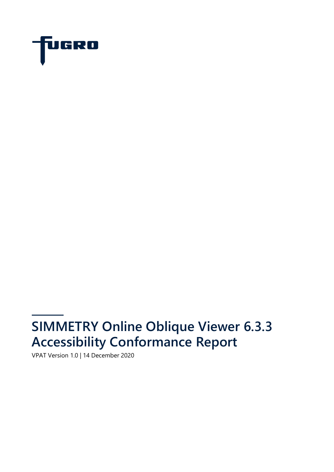

# **SIMMETRY Online Oblique Viewer 6.3.3 Accessibility Conformance Report**

VPAT Version 1.0 | 14 December 2020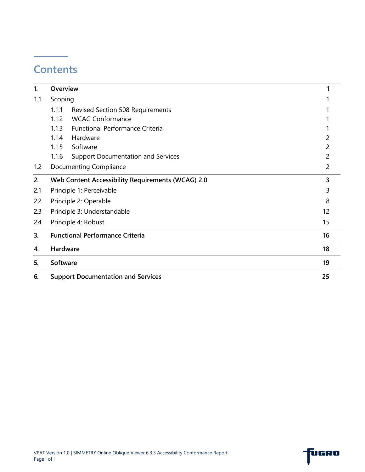## **Contents**

| 1.  | Overview |                                                   |                |
|-----|----------|---------------------------------------------------|----------------|
| 1.1 | Scoping  |                                                   |                |
|     | 1.1.1    | <b>Revised Section 508 Requirements</b>           |                |
|     | 1.1.2    | <b>WCAG Conformance</b>                           |                |
|     | 1.1.3    | <b>Functional Performance Criteria</b>            |                |
|     | 1.1.4    | Hardware                                          |                |
|     | 1.1.5    | Software                                          | 2              |
|     | 1.1.6    | <b>Support Documentation and Services</b>         | 2              |
| 1.2 |          | <b>Documenting Compliance</b>                     | $\overline{2}$ |
| 2.  |          | Web Content Accessibility Requirements (WCAG) 2.0 | 3              |
| 2.1 |          | Principle 1: Perceivable                          | 3              |
| 2.2 |          | Principle 2: Operable                             | 8              |
| 2.3 |          | Principle 3: Understandable                       | 12             |
| 2.4 |          | Principle 4: Robust                               | 15             |
| 3.  |          | <b>Functional Performance Criteria</b>            | 16             |
| 4.  | Hardware |                                                   | 18             |
| 5.  | Software |                                                   | 19             |
| 6.  |          | <b>Support Documentation and Services</b>         | 25             |

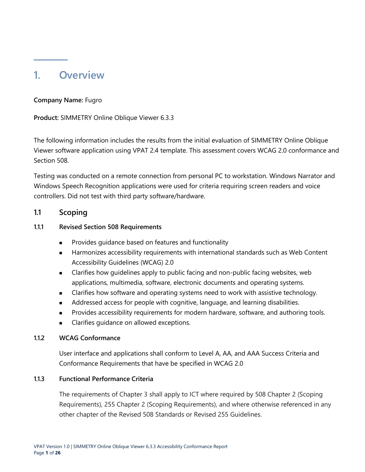### <span id="page-2-0"></span>**1. Overview**

#### **Company Name:** Fugro

**Product:** SIMMETRY Online Oblique Viewer 6.3.3

The following information includes the results from the initial evaluation of SIMMETRY Online Oblique Viewer software application using VPAT 2.4 template. This assessment covers WCAG 2.0 conformance and Section 508.

Testing was conducted on a remote connection from personal PC to workstation. Windows Narrator and Windows Speech Recognition applications were used for criteria requiring screen readers and voice controllers. Did not test with third party software/hardware.

#### <span id="page-2-1"></span>**1.1 Scoping**

#### <span id="page-2-2"></span>**1.1.1 Revised Section 508 Requirements**

- Provides guidance based on features and functionality
- Harmonizes accessibility requirements with international standards such as Web Content Accessibility Guidelines (WCAG) 2.0
- Clarifies how guidelines apply to public facing and non-public facing websites, web applications, multimedia, software, electronic documents and operating systems.
- Clarifies how software and operating systems need to work with assistive technology.
- Addressed access for people with cognitive, language, and learning disabilities.
- Provides accessibility requirements for modern hardware, software, and authoring tools.
- Clarifies guidance on allowed exceptions.

#### <span id="page-2-3"></span>**1.1.2 WCAG Conformance**

User interface and applications shall conform to Level A, AA, and AAA Success Criteria and Conformance Requirements that have be specified in WCAG 2.0

#### <span id="page-2-4"></span>**1.1.3 Functional Performance Criteria**

The requirements of Chapter 3 shall apply to ICT where required by 508 Chapter 2 (Scoping Requirements), 255 Chapter 2 (Scoping Requirements), and where otherwise referenced in any other chapter of the Revised 508 Standards or Revised 255 Guidelines.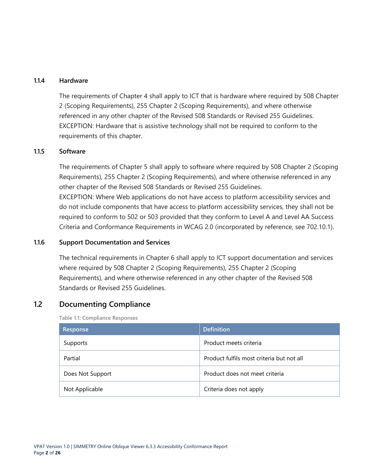#### <span id="page-3-0"></span>**1.1.4 Hardware**

The requirements of Chapter 4 shall apply to ICT that is hardware where required by 508 Chapter 2 (Scoping Requirements), 255 Chapter 2 (Scoping Requirements), and where otherwise referenced in any other chapter of the Revised 508 Standards or Revised 255 Guidelines. EXCEPTION: Hardware that is assistive technology shall not be required to conform to the requirements of this chapter.

#### <span id="page-3-1"></span>**1.1.5 Software**

The requirements of Chapter 5 shall apply to software where required by 508 Chapter 2 (Scoping Requirements), 255 Chapter 2 (Scoping Requirements), and where otherwise referenced in any other chapter of the Revised 508 Standards or Revised 255 Guidelines. EXCEPTION: Where Web applications do not have access to platform accessibility services and do not include components that have access to platform accessibility services, they shall not be required to conform to 502 or 503 provided that they conform to Level A and Level AA Success Criteria and Conformance Requirements in WCAG 2.0 (incorporated by reference, see 702.10.1).

#### <span id="page-3-2"></span>**1.1.6 Support Documentation and Services**

The technical requirements in Chapter 6 shall apply to ICT support documentation and services where required by 508 Chapter 2 (Scoping Requirements), 255 Chapter 2 (Scoping Requirements), and where otherwise referenced in any other chapter of the Revised 508 Standards or Revised 255 Guidelines.

#### <span id="page-3-3"></span>**1.2 Documenting Compliance**

**Table 1.1: Compliance Responses**

| Response         | <b>Definition</b>                         |
|------------------|-------------------------------------------|
| Supports         | Product meets criteria                    |
| Partial          | Product fulfils most criteria but not all |
| Does Not Support | Product does not meet criteria            |
| Not Applicable   | Criteria does not apply                   |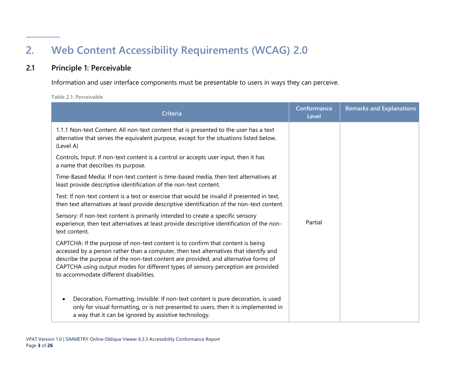# **2. Web Content Accessibility Requirements (WCAG) 2.0**

#### **2.1 Principle 1: Perceivable**

Information and user interface components must be presentable to users in ways they can perceive.

**Table 2.1: Perceivable**

<span id="page-4-1"></span><span id="page-4-0"></span>

| <b>Criteria</b>                                                                                                                                                                                                                                                                                                                                                                                | Conformance<br>Level | <b>Remarks and Explanations</b> |  |  |  |
|------------------------------------------------------------------------------------------------------------------------------------------------------------------------------------------------------------------------------------------------------------------------------------------------------------------------------------------------------------------------------------------------|----------------------|---------------------------------|--|--|--|
| 1.1.1 Non-text Content: All non-text content that is presented to the user has a text<br>alternative that serves the equivalent purpose, except for the situations listed below.<br>(Level A)                                                                                                                                                                                                  |                      |                                 |  |  |  |
| Controls, Input: If non-text content is a control or accepts user input, then it has<br>a name that describes its purpose.                                                                                                                                                                                                                                                                     |                      |                                 |  |  |  |
| Time-Based Media: If non-text content is time-based media, then text alternatives at<br>least provide descriptive identification of the non-text content.                                                                                                                                                                                                                                      |                      |                                 |  |  |  |
| Test: If non-text content is a test or exercise that would be invalid if presented in text,<br>then text alternatives at least provide descriptive identification of the non-text content.                                                                                                                                                                                                     | Partial              |                                 |  |  |  |
| Sensory: If non-text content is primarily intended to create a specific sensory<br>experience, then text alternatives at least provide descriptive identification of the non-<br>text content.                                                                                                                                                                                                 |                      |                                 |  |  |  |
| CAPTCHA: If the purpose of non-text content is to confirm that content is being<br>accessed by a person rather than a computer, then text alternatives that identify and<br>describe the purpose of the non-text content are provided, and alternative forms of<br>CAPTCHA using output modes for different types of sensory perception are provided<br>to accommodate different disabilities. |                      |                                 |  |  |  |
| Decoration, Formatting, Invisible: If non-text content is pure decoration, is used<br>$\bullet$<br>only for visual formatting, or is not presented to users, then it is implemented in<br>a way that it can be ignored by assistive technology.                                                                                                                                                |                      |                                 |  |  |  |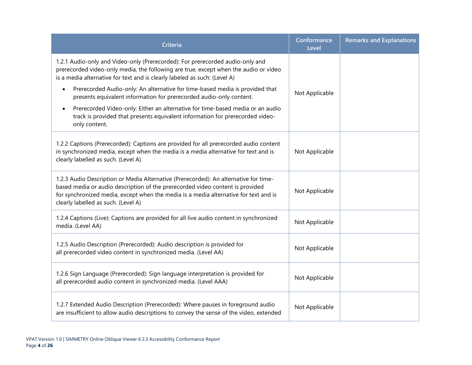| Criteria                                                                                                                                                                                                                                                                                             | Conformance<br>Level | <b>Remarks and Explanations</b> |
|------------------------------------------------------------------------------------------------------------------------------------------------------------------------------------------------------------------------------------------------------------------------------------------------------|----------------------|---------------------------------|
| 1.2.1 Audio-only and Video-only (Prerecorded): For prerecorded audio-only and<br>prerecorded video-only media, the following are true, except when the audio or video<br>is a media alternative for text and is clearly labeled as such: (Level A)                                                   |                      |                                 |
| Prerecorded Audio-only: An alternative for time-based media is provided that<br>$\bullet$<br>presents equivalent information for prerecorded audio-only content.                                                                                                                                     | Not Applicable       |                                 |
| Prerecorded Video-only: Either an alternative for time-based media or an audio<br>$\bullet$<br>track is provided that presents equivalent information for prerecorded video-<br>only content.                                                                                                        |                      |                                 |
| 1.2.2 Captions (Prerecorded): Captions are provided for all prerecorded audio content<br>in synchronized media, except when the media is a media alternative for text and is<br>clearly labelled as such. (Level A)                                                                                  | Not Applicable       |                                 |
| 1.2.3 Audio Description or Media Alternative (Prerecorded): An alternative for time-<br>based media or audio description of the prerecorded video content is provided<br>for synchronized media, except when the media is a media alternative for text and is<br>clearly labelled as such. (Level A) | Not Applicable       |                                 |
| 1.2.4 Captions (Live): Captions are provided for all live audio content in synchronized<br>media. (Level AA)                                                                                                                                                                                         | Not Applicable       |                                 |
| 1.2.5 Audio Description (Prerecorded): Audio description is provided for<br>all prerecorded video content in synchronized media. (Level AA)                                                                                                                                                          | Not Applicable       |                                 |
| 1.2.6 Sign Language (Prerecorded): Sign language interpretation is provided for<br>all prerecorded audio content in synchronized media. (Level AAA)                                                                                                                                                  | Not Applicable       |                                 |
| 1.2.7 Extended Audio Description (Prerecorded): Where pauses in foreground audio<br>are insufficient to allow audio descriptions to convey the sense of the video, extended                                                                                                                          | Not Applicable       |                                 |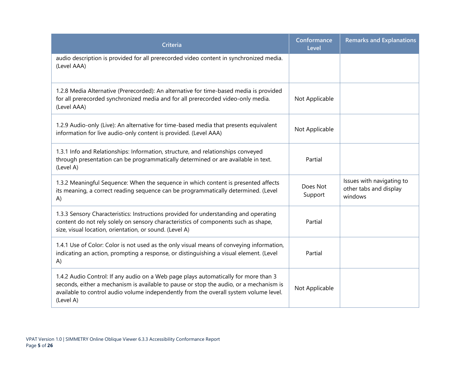| <b>Criteria</b>                                                                                                                                                                                                                                                                     | Conformance<br>Level | <b>Remarks and Explanations</b>                                |
|-------------------------------------------------------------------------------------------------------------------------------------------------------------------------------------------------------------------------------------------------------------------------------------|----------------------|----------------------------------------------------------------|
| audio description is provided for all prerecorded video content in synchronized media.<br>(Level AAA)                                                                                                                                                                               |                      |                                                                |
| 1.2.8 Media Alternative (Prerecorded): An alternative for time-based media is provided<br>for all prerecorded synchronized media and for all prerecorded video-only media.<br>(Level AAA)                                                                                           | Not Applicable       |                                                                |
| 1.2.9 Audio-only (Live): An alternative for time-based media that presents equivalent<br>information for live audio-only content is provided. (Level AAA)                                                                                                                           | Not Applicable       |                                                                |
| 1.3.1 Info and Relationships: Information, structure, and relationships conveyed<br>through presentation can be programmatically determined or are available in text.<br>(Level A)                                                                                                  | Partial              |                                                                |
| 1.3.2 Meaningful Sequence: When the sequence in which content is presented affects<br>its meaning, a correct reading sequence can be programmatically determined. (Level<br>A)                                                                                                      | Does Not<br>Support  | Issues with navigating to<br>other tabs and display<br>windows |
| 1.3.3 Sensory Characteristics: Instructions provided for understanding and operating<br>content do not rely solely on sensory characteristics of components such as shape,<br>size, visual location, orientation, or sound. (Level A)                                               | Partial              |                                                                |
| 1.4.1 Use of Color: Color is not used as the only visual means of conveying information,<br>indicating an action, prompting a response, or distinguishing a visual element. (Level<br>A)                                                                                            | Partial              |                                                                |
| 1.4.2 Audio Control: If any audio on a Web page plays automatically for more than 3<br>seconds, either a mechanism is available to pause or stop the audio, or a mechanism is<br>available to control audio volume independently from the overall system volume level.<br>(Level A) | Not Applicable       |                                                                |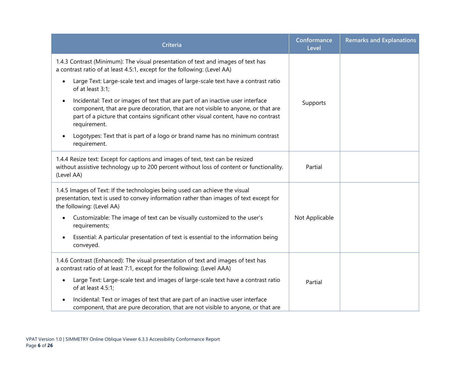| <b>Criteria</b>                                                                                                                                                                                                                                                                       | Conformance<br>Level | <b>Remarks and Explanations</b> |
|---------------------------------------------------------------------------------------------------------------------------------------------------------------------------------------------------------------------------------------------------------------------------------------|----------------------|---------------------------------|
| 1.4.3 Contrast (Minimum): The visual presentation of text and images of text has<br>a contrast ratio of at least 4.5:1, except for the following: (Level AA)                                                                                                                          |                      |                                 |
| Large Text: Large-scale text and images of large-scale text have a contrast ratio<br>$\bullet$<br>of at least 3:1;                                                                                                                                                                    |                      |                                 |
| Incidental: Text or images of text that are part of an inactive user interface<br>$\bullet$<br>component, that are pure decoration, that are not visible to anyone, or that are<br>part of a picture that contains significant other visual content, have no contrast<br>requirement. | Supports             |                                 |
| Logotypes: Text that is part of a logo or brand name has no minimum contrast<br>$\bullet$<br>requirement.                                                                                                                                                                             |                      |                                 |
| 1.4.4 Resize text: Except for captions and images of text, text can be resized<br>without assistive technology up to 200 percent without loss of content or functionality.<br>(Level AA)                                                                                              | Partial              |                                 |
| 1.4.5 Images of Text: If the technologies being used can achieve the visual<br>presentation, text is used to convey information rather than images of text except for<br>the following: (Level AA)                                                                                    |                      |                                 |
| Customizable: The image of text can be visually customized to the user's<br>$\bullet$<br>requirements;                                                                                                                                                                                | Not Applicable       |                                 |
| Essential: A particular presentation of text is essential to the information being<br>$\bullet$<br>conveyed.                                                                                                                                                                          |                      |                                 |
| 1.4.6 Contrast (Enhanced): The visual presentation of text and images of text has<br>a contrast ratio of at least 7:1, except for the following: (Level AAA)                                                                                                                          |                      |                                 |
| Large Text: Large-scale text and images of large-scale text have a contrast ratio<br>$\bullet$<br>of at least 4.5:1;                                                                                                                                                                  | Partial              |                                 |
| Incidental: Text or images of text that are part of an inactive user interface<br>component, that are pure decoration, that are not visible to anyone, or that are                                                                                                                    |                      |                                 |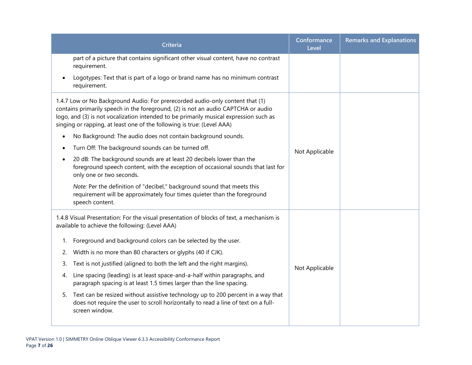|           | <b>Criteria</b>                                                                                                                                                                                                                                                                                                                       | Conformance<br>Level | <b>Remarks and Explanations</b> |
|-----------|---------------------------------------------------------------------------------------------------------------------------------------------------------------------------------------------------------------------------------------------------------------------------------------------------------------------------------------|----------------------|---------------------------------|
|           | part of a picture that contains significant other visual content, have no contrast<br>requirement.                                                                                                                                                                                                                                    |                      |                                 |
|           | Logotypes: Text that is part of a logo or brand name has no minimum contrast<br>requirement.                                                                                                                                                                                                                                          |                      |                                 |
|           | 1.4.7 Low or No Background Audio: For prerecorded audio-only content that (1)<br>contains primarily speech in the foreground, (2) is not an audio CAPTCHA or audio<br>logo, and (3) is not vocalization intended to be primarily musical expression such as<br>singing or rapping, at least one of the following is true: (Level AAA) |                      |                                 |
| $\bullet$ | No Background: The audio does not contain background sounds.                                                                                                                                                                                                                                                                          |                      |                                 |
|           | Turn Off: The background sounds can be turned off.                                                                                                                                                                                                                                                                                    | Not Applicable       |                                 |
| $\bullet$ | 20 dB: The background sounds are at least 20 decibels lower than the<br>foreground speech content, with the exception of occasional sounds that last for<br>only one or two seconds.                                                                                                                                                  |                      |                                 |
|           | Note: Per the definition of "decibel," background sound that meets this<br>requirement will be approximately four times quieter than the foreground<br>speech content.                                                                                                                                                                |                      |                                 |
|           | 1.4.8 Visual Presentation: For the visual presentation of blocks of text, a mechanism is<br>available to achieve the following: (Level AAA)                                                                                                                                                                                           |                      |                                 |
| 1.        | Foreground and background colors can be selected by the user.                                                                                                                                                                                                                                                                         |                      |                                 |
| 2.        | Width is no more than 80 characters or glyphs (40 if CJK).                                                                                                                                                                                                                                                                            |                      |                                 |
| 3.        | Text is not justified (aligned to both the left and the right margins).                                                                                                                                                                                                                                                               | Not Applicable       |                                 |
| 4.        | Line spacing (leading) is at least space-and-a-half within paragraphs, and<br>paragraph spacing is at least 1.5 times larger than the line spacing.                                                                                                                                                                                   |                      |                                 |
| 5.        | Text can be resized without assistive technology up to 200 percent in a way that<br>does not require the user to scroll horizontally to read a line of text on a full-<br>screen window.                                                                                                                                              |                      |                                 |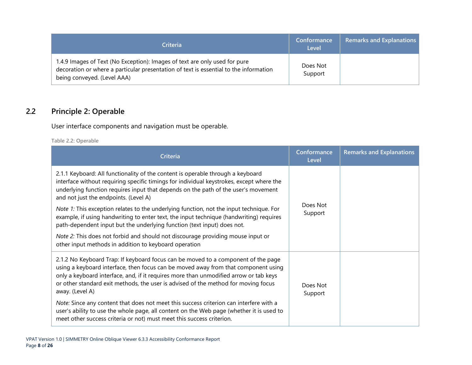| <b>Criteria</b>                                                                                                                                                                                    | Conformance<br>Level | <b>Remarks and Explanations</b> |
|----------------------------------------------------------------------------------------------------------------------------------------------------------------------------------------------------|----------------------|---------------------------------|
| 1.4.9 Images of Text (No Exception): Images of text are only used for pure<br>decoration or where a particular presentation of text is essential to the information<br>being conveyed. (Level AAA) | Does Not<br>Support  |                                 |

### **2.2 Principle 2: Operable**

User interface components and navigation must be operable.

**Table 2.2: Operable**

<span id="page-9-0"></span>

| Criteria                                                                                                                                                                                                                                                                                                                                                                  | Conformance<br>Level | <b>Remarks and Explanations</b> |
|---------------------------------------------------------------------------------------------------------------------------------------------------------------------------------------------------------------------------------------------------------------------------------------------------------------------------------------------------------------------------|----------------------|---------------------------------|
| 2.1.1 Keyboard: All functionality of the content is operable through a keyboard<br>interface without requiring specific timings for individual keystrokes, except where the<br>underlying function requires input that depends on the path of the user's movement<br>and not just the endpoints. (Level A)                                                                | Does Not<br>Support  |                                 |
| Note 1: This exception relates to the underlying function, not the input technique. For<br>example, if using handwriting to enter text, the input technique (handwriting) requires<br>path-dependent input but the underlying function (text input) does not.                                                                                                             |                      |                                 |
| Note 2: This does not forbid and should not discourage providing mouse input or<br>other input methods in addition to keyboard operation                                                                                                                                                                                                                                  |                      |                                 |
| 2.1.2 No Keyboard Trap: If keyboard focus can be moved to a component of the page<br>using a keyboard interface, then focus can be moved away from that component using<br>only a keyboard interface, and, if it requires more than unmodified arrow or tab keys<br>or other standard exit methods, the user is advised of the method for moving focus<br>away. (Level A) | Does Not<br>Support  |                                 |
| Note: Since any content that does not meet this success criterion can interfere with a<br>user's ability to use the whole page, all content on the Web page (whether it is used to<br>meet other success criteria or not) must meet this success criterion.                                                                                                               |                      |                                 |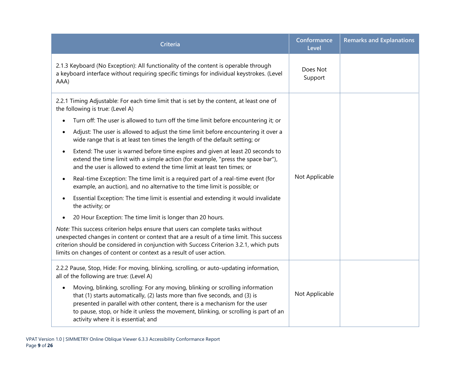| Criteria                                                                                                                                                                                                                                                                                                                                                                                 | Conformance<br>Level | <b>Remarks and Explanations</b> |
|------------------------------------------------------------------------------------------------------------------------------------------------------------------------------------------------------------------------------------------------------------------------------------------------------------------------------------------------------------------------------------------|----------------------|---------------------------------|
| 2.1.3 Keyboard (No Exception): All functionality of the content is operable through<br>a keyboard interface without requiring specific timings for individual keystrokes. (Level<br>AAA)                                                                                                                                                                                                 | Does Not<br>Support  |                                 |
| 2.2.1 Timing Adjustable: For each time limit that is set by the content, at least one of<br>the following is true: (Level A)                                                                                                                                                                                                                                                             |                      |                                 |
| Turn off: The user is allowed to turn off the time limit before encountering it; or                                                                                                                                                                                                                                                                                                      |                      |                                 |
| Adjust: The user is allowed to adjust the time limit before encountering it over a<br>$\bullet$<br>wide range that is at least ten times the length of the default setting; or                                                                                                                                                                                                           | Not Applicable       |                                 |
| Extend: The user is warned before time expires and given at least 20 seconds to<br>$\bullet$<br>extend the time limit with a simple action (for example, "press the space bar"),<br>and the user is allowed to extend the time limit at least ten times; or                                                                                                                              |                      |                                 |
| Real-time Exception: The time limit is a required part of a real-time event (for<br>$\bullet$<br>example, an auction), and no alternative to the time limit is possible; or                                                                                                                                                                                                              |                      |                                 |
| Essential Exception: The time limit is essential and extending it would invalidate<br>$\bullet$<br>the activity; or                                                                                                                                                                                                                                                                      |                      |                                 |
| 20 Hour Exception: The time limit is longer than 20 hours.                                                                                                                                                                                                                                                                                                                               |                      |                                 |
| Note: This success criterion helps ensure that users can complete tasks without<br>unexpected changes in content or context that are a result of a time limit. This success<br>criterion should be considered in conjunction with Success Criterion 3.2.1, which puts<br>limits on changes of content or context as a result of user action.                                             |                      |                                 |
| 2.2.2 Pause, Stop, Hide: For moving, blinking, scrolling, or auto-updating information,<br>all of the following are true: (Level A)                                                                                                                                                                                                                                                      |                      |                                 |
| Moving, blinking, scrolling: For any moving, blinking or scrolling information<br>$\bullet$<br>that (1) starts automatically, (2) lasts more than five seconds, and (3) is<br>presented in parallel with other content, there is a mechanism for the user<br>to pause, stop, or hide it unless the movement, blinking, or scrolling is part of an<br>activity where it is essential; and | Not Applicable       |                                 |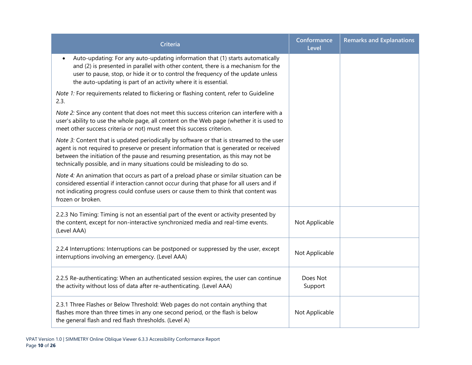| <b>Criteria</b>                                                                                                                                                                                                                                                                                                                                       | Conformance<br>Level | <b>Remarks and Explanations</b> |
|-------------------------------------------------------------------------------------------------------------------------------------------------------------------------------------------------------------------------------------------------------------------------------------------------------------------------------------------------------|----------------------|---------------------------------|
| Auto-updating: For any auto-updating information that (1) starts automatically<br>and (2) is presented in parallel with other content, there is a mechanism for the<br>user to pause, stop, or hide it or to control the frequency of the update unless<br>the auto-updating is part of an activity where it is essential.                            |                      |                                 |
| Note 1: For requirements related to flickering or flashing content, refer to Guideline<br>2.3.                                                                                                                                                                                                                                                        |                      |                                 |
| Note 2: Since any content that does not meet this success criterion can interfere with a<br>user's ability to use the whole page, all content on the Web page (whether it is used to<br>meet other success criteria or not) must meet this success criterion.                                                                                         |                      |                                 |
| Note 3: Content that is updated periodically by software or that is streamed to the user<br>agent is not required to preserve or present information that is generated or received<br>between the initiation of the pause and resuming presentation, as this may not be<br>technically possible, and in many situations could be misleading to do so. |                      |                                 |
| Note 4: An animation that occurs as part of a preload phase or similar situation can be<br>considered essential if interaction cannot occur during that phase for all users and if<br>not indicating progress could confuse users or cause them to think that content was<br>frozen or broken.                                                        |                      |                                 |
| 2.2.3 No Timing: Timing is not an essential part of the event or activity presented by<br>the content, except for non-interactive synchronized media and real-time events.<br>(Level AAA)                                                                                                                                                             | Not Applicable       |                                 |
| 2.2.4 Interruptions: Interruptions can be postponed or suppressed by the user, except<br>interruptions involving an emergency. (Level AAA)                                                                                                                                                                                                            | Not Applicable       |                                 |
| 2.2.5 Re-authenticating: When an authenticated session expires, the user can continue<br>the activity without loss of data after re-authenticating. (Level AAA)                                                                                                                                                                                       | Does Not<br>Support  |                                 |
| 2.3.1 Three Flashes or Below Threshold: Web pages do not contain anything that<br>flashes more than three times in any one second period, or the flash is below<br>the general flash and red flash thresholds. (Level A)                                                                                                                              | Not Applicable       |                                 |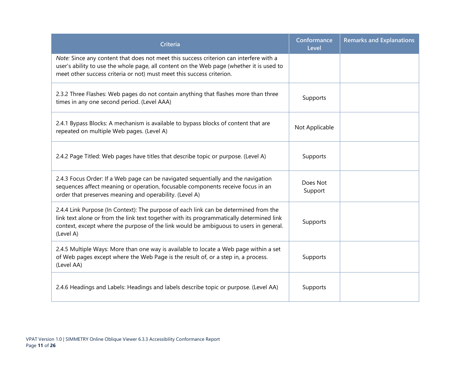| <b>Criteria</b>                                                                                                                                                                                                                                                                        | Conformance<br>Level | <b>Remarks and Explanations</b> |
|----------------------------------------------------------------------------------------------------------------------------------------------------------------------------------------------------------------------------------------------------------------------------------------|----------------------|---------------------------------|
| Note: Since any content that does not meet this success criterion can interfere with a<br>user's ability to use the whole page, all content on the Web page (whether it is used to<br>meet other success criteria or not) must meet this success criterion.                            |                      |                                 |
| 2.3.2 Three Flashes: Web pages do not contain anything that flashes more than three<br>times in any one second period. (Level AAA)                                                                                                                                                     | Supports             |                                 |
| 2.4.1 Bypass Blocks: A mechanism is available to bypass blocks of content that are<br>repeated on multiple Web pages. (Level A)                                                                                                                                                        | Not Applicable       |                                 |
| 2.4.2 Page Titled: Web pages have titles that describe topic or purpose. (Level A)                                                                                                                                                                                                     | Supports             |                                 |
| 2.4.3 Focus Order: If a Web page can be navigated sequentially and the navigation<br>sequences affect meaning or operation, focusable components receive focus in an<br>order that preserves meaning and operability. (Level A)                                                        | Does Not<br>Support  |                                 |
| 2.4.4 Link Purpose (In Context): The purpose of each link can be determined from the<br>link text alone or from the link text together with its programmatically determined link<br>context, except where the purpose of the link would be ambiguous to users in general.<br>(Level A) | Supports             |                                 |
| 2.4.5 Multiple Ways: More than one way is available to locate a Web page within a set<br>of Web pages except where the Web Page is the result of, or a step in, a process.<br>(Level AA)                                                                                               | Supports             |                                 |
| 2.4.6 Headings and Labels: Headings and labels describe topic or purpose. (Level AA)                                                                                                                                                                                                   | Supports             |                                 |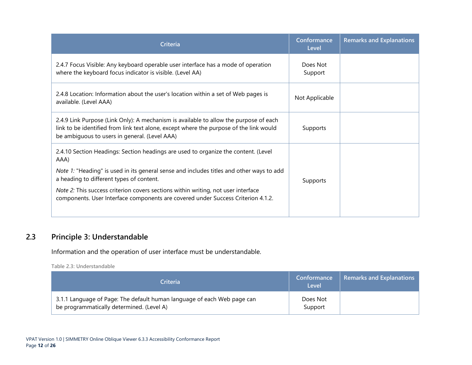| Criteria                                                                                                                                                                                                                         | Conformance<br>Level | <b>Remarks and Explanations</b> |
|----------------------------------------------------------------------------------------------------------------------------------------------------------------------------------------------------------------------------------|----------------------|---------------------------------|
| 2.4.7 Focus Visible: Any keyboard operable user interface has a mode of operation<br>where the keyboard focus indicator is visible. (Level AA)                                                                                   | Does Not<br>Support  |                                 |
| 2.4.8 Location: Information about the user's location within a set of Web pages is<br>available. (Level AAA)                                                                                                                     | Not Applicable       |                                 |
| 2.4.9 Link Purpose (Link Only): A mechanism is available to allow the purpose of each<br>link to be identified from link text alone, except where the purpose of the link would<br>be ambiguous to users in general. (Level AAA) | Supports             |                                 |
| 2.4.10 Section Headings: Section headings are used to organize the content. (Level<br>AAA)                                                                                                                                       |                      |                                 |
| Note 1: "Heading" is used in its general sense and includes titles and other ways to add<br>a heading to different types of content.                                                                                             | Supports             |                                 |
| <i>Note 2:</i> This success criterion covers sections within writing, not user interface<br>components. User Interface components are covered under Success Criterion 4.1.2.                                                     |                      |                                 |

#### **2.3 Principle 3: Understandable**

Information and the operation of user interface must be understandable.

**Table 2.3: Understandable**

<span id="page-13-0"></span>

| <b>Criteria</b>                                                                                                      | Conformance<br>Level | <b>Remarks and Explanations</b> |
|----------------------------------------------------------------------------------------------------------------------|----------------------|---------------------------------|
| 3.1.1 Language of Page: The default human language of each Web page can<br>be programmatically determined. (Level A) | Does Not<br>Support  |                                 |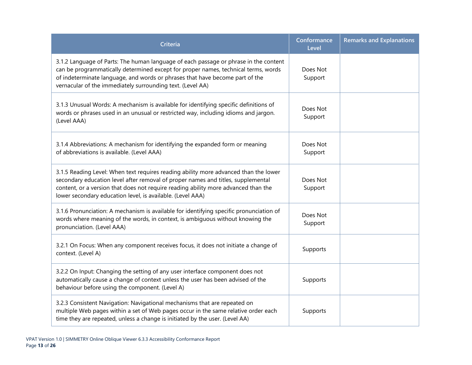| <b>Criteria</b>                                                                                                                                                                                                                                                                                                              | Conformance<br>Level | <b>Remarks and Explanations</b> |
|------------------------------------------------------------------------------------------------------------------------------------------------------------------------------------------------------------------------------------------------------------------------------------------------------------------------------|----------------------|---------------------------------|
| 3.1.2 Language of Parts: The human language of each passage or phrase in the content<br>can be programmatically determined except for proper names, technical terms, words<br>of indeterminate language, and words or phrases that have become part of the<br>vernacular of the immediately surrounding text. (Level AA)     | Does Not<br>Support  |                                 |
| 3.1.3 Unusual Words: A mechanism is available for identifying specific definitions of<br>words or phrases used in an unusual or restricted way, including idioms and jargon.<br>(Level AAA)                                                                                                                                  | Does Not<br>Support  |                                 |
| 3.1.4 Abbreviations: A mechanism for identifying the expanded form or meaning<br>of abbreviations is available. (Level AAA)                                                                                                                                                                                                  | Does Not<br>Support  |                                 |
| 3.1.5 Reading Level: When text requires reading ability more advanced than the lower<br>secondary education level after removal of proper names and titles, supplemental<br>content, or a version that does not require reading ability more advanced than the<br>lower secondary education level, is available. (Level AAA) | Does Not<br>Support  |                                 |
| 3.1.6 Pronunciation: A mechanism is available for identifying specific pronunciation of<br>words where meaning of the words, in context, is ambiguous without knowing the<br>pronunciation. (Level AAA)                                                                                                                      | Does Not<br>Support  |                                 |
| 3.2.1 On Focus: When any component receives focus, it does not initiate a change of<br>context. (Level A)                                                                                                                                                                                                                    | Supports             |                                 |
| 3.2.2 On Input: Changing the setting of any user interface component does not<br>automatically cause a change of context unless the user has been advised of the<br>behaviour before using the component. (Level A)                                                                                                          | Supports             |                                 |
| 3.2.3 Consistent Navigation: Navigational mechanisms that are repeated on<br>multiple Web pages within a set of Web pages occur in the same relative order each<br>time they are repeated, unless a change is initiated by the user. (Level AA)                                                                              | Supports             |                                 |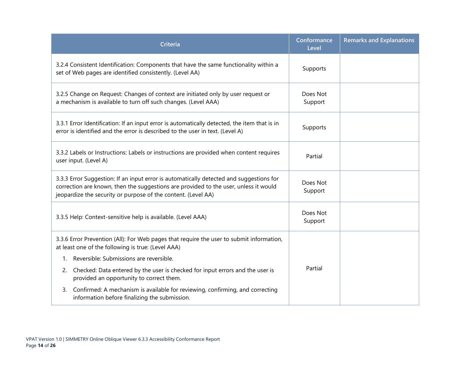| <b>Criteria</b>                                                                                                                                                                                                                                  | Conformance<br>Level | <b>Remarks and Explanations</b> |
|--------------------------------------------------------------------------------------------------------------------------------------------------------------------------------------------------------------------------------------------------|----------------------|---------------------------------|
| 3.2.4 Consistent Identification: Components that have the same functionality within a<br>set of Web pages are identified consistently. (Level AA)                                                                                                | Supports             |                                 |
| 3.2.5 Change on Request: Changes of context are initiated only by user request or<br>a mechanism is available to turn off such changes. (Level AAA)                                                                                              | Does Not<br>Support  |                                 |
| 3.3.1 Error Identification: If an input error is automatically detected, the item that is in<br>error is identified and the error is described to the user in text. (Level A)                                                                    | Supports             |                                 |
| 3.3.2 Labels or Instructions: Labels or instructions are provided when content requires<br>user input. (Level A)                                                                                                                                 | Partial              |                                 |
| 3.3.3 Error Suggestion: If an input error is automatically detected and suggestions for<br>correction are known, then the suggestions are provided to the user, unless it would<br>jeopardize the security or purpose of the content. (Level AA) | Does Not<br>Support  |                                 |
| 3.3.5 Help: Context-sensitive help is available. (Level AAA)                                                                                                                                                                                     | Does Not<br>Support  |                                 |
| 3.3.6 Error Prevention (All): For Web pages that require the user to submit information,<br>at least one of the following is true: (Level AAA)                                                                                                   |                      |                                 |
| 1. Reversible: Submissions are reversible.                                                                                                                                                                                                       |                      |                                 |
| Checked: Data entered by the user is checked for input errors and the user is<br>2.<br>provided an opportunity to correct them.                                                                                                                  | Partial              |                                 |
| Confirmed: A mechanism is available for reviewing, confirming, and correcting<br>3.<br>information before finalizing the submission.                                                                                                             |                      |                                 |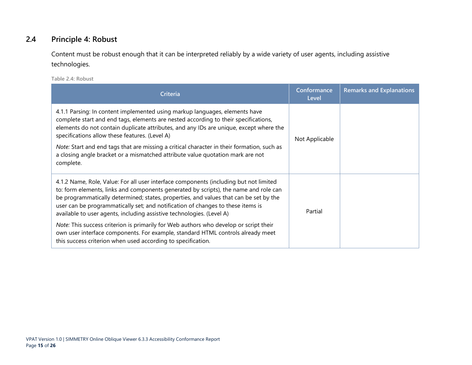#### **2.4 Principle 4: Robust**

Content must be robust enough that it can be interpreted reliably by a wide variety of user agents, including assistive technologies.

**Table 2.4: Robust**

<span id="page-16-0"></span>

| <b>Criteria</b>                                                                                                                                                                                                                                                                                                                                                                                                                    | Conformance<br>Level | <b>Remarks and Explanations</b> |
|------------------------------------------------------------------------------------------------------------------------------------------------------------------------------------------------------------------------------------------------------------------------------------------------------------------------------------------------------------------------------------------------------------------------------------|----------------------|---------------------------------|
| 4.1.1 Parsing: In content implemented using markup languages, elements have<br>complete start and end tags, elements are nested according to their specifications,<br>elements do not contain duplicate attributes, and any IDs are unique, except where the<br>specifications allow these features. (Level A)<br>Note: Start and end tags that are missing a critical character in their formation, such as                       | Not Applicable       |                                 |
| a closing angle bracket or a mismatched attribute value quotation mark are not<br>complete.                                                                                                                                                                                                                                                                                                                                        |                      |                                 |
| 4.1.2 Name, Role, Value: For all user interface components (including but not limited<br>to: form elements, links and components generated by scripts), the name and role can<br>be programmatically determined; states, properties, and values that can be set by the<br>user can be programmatically set; and notification of changes to these items is<br>available to user agents, including assistive technologies. (Level A) | Partial              |                                 |
| Note: This success criterion is primarily for Web authors who develop or script their<br>own user interface components. For example, standard HTML controls already meet<br>this success criterion when used according to specification.                                                                                                                                                                                           |                      |                                 |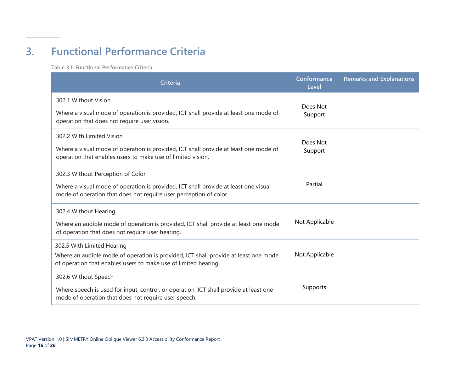# **3. Functional Performance Criteria**

**Table 3.1: Functional Performance Criteria**

<span id="page-17-0"></span>

| Criteria                                                                                                                                                                                      | Conformance<br>Level | <b>Remarks and Explanations</b> |
|-----------------------------------------------------------------------------------------------------------------------------------------------------------------------------------------------|----------------------|---------------------------------|
| 302.1 Without Vision<br>Where a visual mode of operation is provided, ICT shall provide at least one mode of<br>operation that does not require user vision.                                  | Does Not<br>Support  |                                 |
| 302.2 With Limited Vision<br>Where a visual mode of operation is provided, ICT shall provide at least one mode of<br>operation that enables users to make use of limited vision.              | Does Not<br>Support  |                                 |
| 302.3 Without Perception of Color<br>Where a visual mode of operation is provided, ICT shall provide at least one visual<br>mode of operation that does not require user perception of color. | Partial              |                                 |
| 302.4 Without Hearing<br>Where an audible mode of operation is provided, ICT shall provide at least one mode<br>of operation that does not require user hearing.                              | Not Applicable       |                                 |
| 302.5 With Limited Hearing<br>Where an audible mode of operation is provided, ICT shall provide at least one mode<br>of operation that enables users to make use of limited hearing.          | Not Applicable       |                                 |
| 302.6 Without Speech<br>Where speech is used for input, control, or operation, ICT shall provide at least one<br>mode of operation that does not require user speech.                         | Supports             |                                 |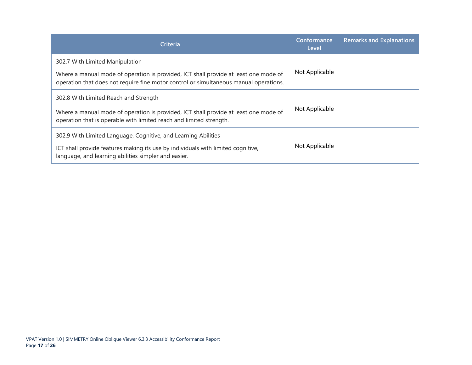| <b>Criteria</b>                                                                                                                                                                                                  | Conformance<br>Level | <b>Remarks and Explanations</b> |
|------------------------------------------------------------------------------------------------------------------------------------------------------------------------------------------------------------------|----------------------|---------------------------------|
| 302.7 With Limited Manipulation<br>Where a manual mode of operation is provided, ICT shall provide at least one mode of<br>operation that does not require fine motor control or simultaneous manual operations. | Not Applicable       |                                 |
| 302.8 With Limited Reach and Strength<br>Where a manual mode of operation is provided, ICT shall provide at least one mode of<br>operation that is operable with limited reach and limited strength.             | Not Applicable       |                                 |
| 302.9 With Limited Language, Cognitive, and Learning Abilities<br>ICT shall provide features making its use by individuals with limited cognitive,<br>language, and learning abilities simpler and easier.       | Not Applicable       |                                 |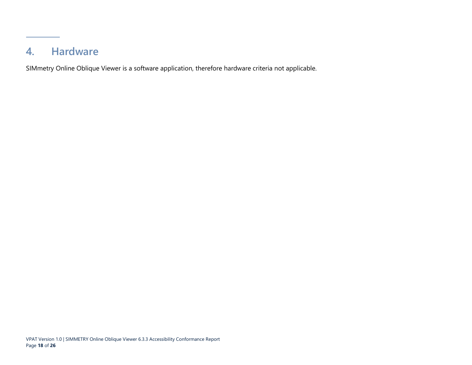### **4. Hardware**

<span id="page-19-0"></span>SIMmetry Online Oblique Viewer is a software application, therefore hardware criteria not applicable.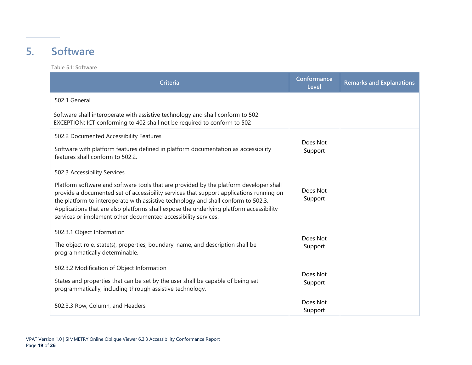### **5. Software**

**Table 5.1: Software**

<span id="page-20-0"></span>

| Criteria                                                                                                                                                                                                                                                                                                                                                                                                                             | Conformance<br>Level | <b>Remarks and Explanations</b> |
|--------------------------------------------------------------------------------------------------------------------------------------------------------------------------------------------------------------------------------------------------------------------------------------------------------------------------------------------------------------------------------------------------------------------------------------|----------------------|---------------------------------|
| 502.1 General                                                                                                                                                                                                                                                                                                                                                                                                                        |                      |                                 |
| Software shall interoperate with assistive technology and shall conform to 502.<br>EXCEPTION: ICT conforming to 402 shall not be required to conform to 502                                                                                                                                                                                                                                                                          |                      |                                 |
| 502.2 Documented Accessibility Features                                                                                                                                                                                                                                                                                                                                                                                              | Does Not             |                                 |
| Software with platform features defined in platform documentation as accessibility<br>features shall conform to 502.2.                                                                                                                                                                                                                                                                                                               | Support              |                                 |
| 502.3 Accessibility Services                                                                                                                                                                                                                                                                                                                                                                                                         |                      |                                 |
| Platform software and software tools that are provided by the platform developer shall<br>provide a documented set of accessibility services that support applications running on<br>the platform to interoperate with assistive technology and shall conform to 502.3.<br>Applications that are also platforms shall expose the underlying platform accessibility<br>services or implement other documented accessibility services. | Does Not<br>Support  |                                 |
| 502.3.1 Object Information                                                                                                                                                                                                                                                                                                                                                                                                           | Does Not             |                                 |
| The object role, state(s), properties, boundary, name, and description shall be<br>programmatically determinable.                                                                                                                                                                                                                                                                                                                    | Support              |                                 |
| 502.3.2 Modification of Object Information                                                                                                                                                                                                                                                                                                                                                                                           | Does Not             |                                 |
| States and properties that can be set by the user shall be capable of being set<br>programmatically, including through assistive technology.                                                                                                                                                                                                                                                                                         | Support              |                                 |
| 502.3.3 Row, Column, and Headers                                                                                                                                                                                                                                                                                                                                                                                                     | Does Not<br>Support  |                                 |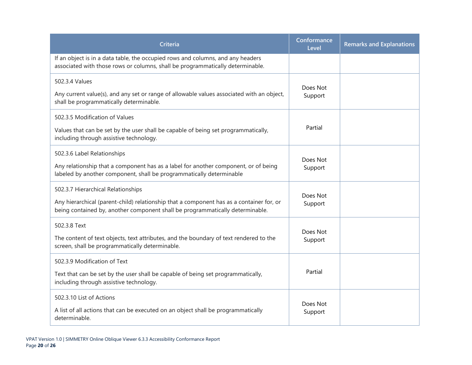| <b>Criteria</b>                                                                                                                                                                                                 | Conformance<br>Level | <b>Remarks and Explanations</b> |
|-----------------------------------------------------------------------------------------------------------------------------------------------------------------------------------------------------------------|----------------------|---------------------------------|
| If an object is in a data table, the occupied rows and columns, and any headers<br>associated with those rows or columns, shall be programmatically determinable.                                               |                      |                                 |
| 502.3.4 Values<br>Any current value(s), and any set or range of allowable values associated with an object,<br>shall be programmatically determinable.                                                          | Does Not<br>Support  |                                 |
| 502.3.5 Modification of Values<br>Values that can be set by the user shall be capable of being set programmatically,<br>including through assistive technology.                                                 | Partial              |                                 |
| 502.3.6 Label Relationships<br>Any relationship that a component has as a label for another component, or of being<br>labeled by another component, shall be programmatically determinable                      | Does Not<br>Support  |                                 |
| 502.3.7 Hierarchical Relationships<br>Any hierarchical (parent-child) relationship that a component has as a container for, or<br>being contained by, another component shall be programmatically determinable. | Does Not<br>Support  |                                 |
| 502.3.8 Text<br>The content of text objects, text attributes, and the boundary of text rendered to the<br>screen, shall be programmatically determinable.                                                       | Does Not<br>Support  |                                 |
| 502.3.9 Modification of Text<br>Text that can be set by the user shall be capable of being set programmatically,<br>including through assistive technology.                                                     | Partial              |                                 |
| 502.3.10 List of Actions<br>A list of all actions that can be executed on an object shall be programmatically<br>determinable.                                                                                  | Does Not<br>Support  |                                 |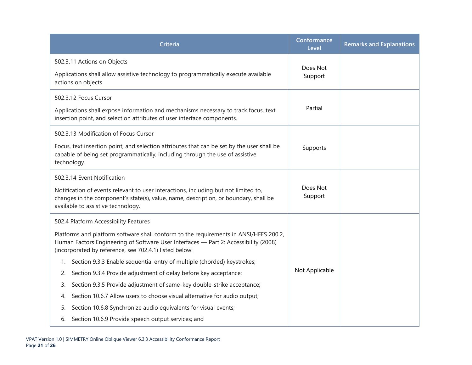| <b>Criteria</b>                                                                                                                                                                                                                         | Conformance<br>Level | <b>Remarks and Explanations</b> |
|-----------------------------------------------------------------------------------------------------------------------------------------------------------------------------------------------------------------------------------------|----------------------|---------------------------------|
| 502.3.11 Actions on Objects                                                                                                                                                                                                             | Does Not             |                                 |
| Applications shall allow assistive technology to programmatically execute available<br>actions on objects                                                                                                                               | Support              |                                 |
| 502.3.12 Focus Cursor                                                                                                                                                                                                                   |                      |                                 |
| Applications shall expose information and mechanisms necessary to track focus, text<br>insertion point, and selection attributes of user interface components.                                                                          | Partial              |                                 |
| 502.3.13 Modification of Focus Cursor                                                                                                                                                                                                   |                      |                                 |
| Focus, text insertion point, and selection attributes that can be set by the user shall be<br>capable of being set programmatically, including through the use of assistive<br>technology.                                              | Supports             |                                 |
| 502.3.14 Event Notification                                                                                                                                                                                                             |                      |                                 |
| Notification of events relevant to user interactions, including but not limited to,<br>changes in the component's state(s), value, name, description, or boundary, shall be<br>available to assistive technology.                       | Does Not<br>Support  |                                 |
| 502.4 Platform Accessibility Features                                                                                                                                                                                                   |                      |                                 |
| Platforms and platform software shall conform to the requirements in ANSI/HFES 200.2,<br>Human Factors Engineering of Software User Interfaces - Part 2: Accessibility (2008)<br>(incorporated by reference, see 702.4.1) listed below: |                      |                                 |
| 1. Section 9.3.3 Enable sequential entry of multiple (chorded) keystrokes;                                                                                                                                                              |                      |                                 |
| Section 9.3.4 Provide adjustment of delay before key acceptance;<br>2.                                                                                                                                                                  | Not Applicable       |                                 |
| Section 9.3.5 Provide adjustment of same-key double-strike acceptance;<br>3.                                                                                                                                                            |                      |                                 |
| Section 10.6.7 Allow users to choose visual alternative for audio output;<br>4.                                                                                                                                                         |                      |                                 |
| Section 10.6.8 Synchronize audio equivalents for visual events;<br>5.                                                                                                                                                                   |                      |                                 |
| Section 10.6.9 Provide speech output services; and<br>6.                                                                                                                                                                                |                      |                                 |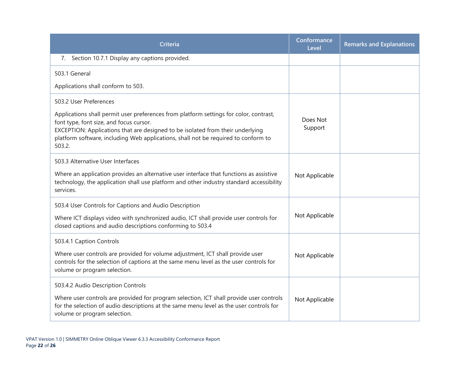| <b>Criteria</b>                                                                                                                                                                                                                                                                                                                               | Conformance<br>Level | <b>Remarks and Explanations</b> |
|-----------------------------------------------------------------------------------------------------------------------------------------------------------------------------------------------------------------------------------------------------------------------------------------------------------------------------------------------|----------------------|---------------------------------|
| Section 10.7.1 Display any captions provided.<br>7.                                                                                                                                                                                                                                                                                           |                      |                                 |
| 503.1 General                                                                                                                                                                                                                                                                                                                                 |                      |                                 |
| Applications shall conform to 503.                                                                                                                                                                                                                                                                                                            |                      |                                 |
| 503.2 User Preferences<br>Applications shall permit user preferences from platform settings for color, contrast,<br>font type, font size, and focus cursor.<br>EXCEPTION: Applications that are designed to be isolated from their underlying<br>platform software, including Web applications, shall not be required to conform to<br>503.2. | Does Not<br>Support  |                                 |
| 503.3 Alternative User Interfaces<br>Where an application provides an alternative user interface that functions as assistive<br>technology, the application shall use platform and other industry standard accessibility<br>services.                                                                                                         | Not Applicable       |                                 |
| 503.4 User Controls for Captions and Audio Description<br>Where ICT displays video with synchronized audio, ICT shall provide user controls for<br>closed captions and audio descriptions conforming to 503.4                                                                                                                                 | Not Applicable       |                                 |
| 503.4.1 Caption Controls<br>Where user controls are provided for volume adjustment, ICT shall provide user<br>controls for the selection of captions at the same menu level as the user controls for<br>volume or program selection.                                                                                                          | Not Applicable       |                                 |
| 503.4.2 Audio Description Controls<br>Where user controls are provided for program selection, ICT shall provide user controls<br>for the selection of audio descriptions at the same menu level as the user controls for<br>volume or program selection.                                                                                      | Not Applicable       |                                 |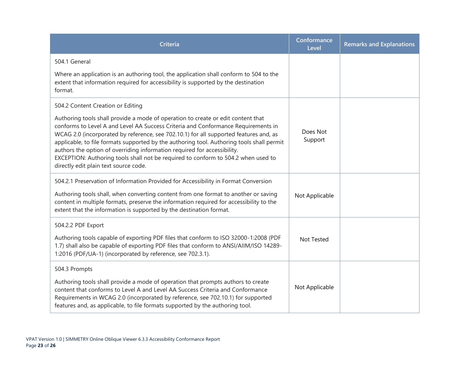| <b>Criteria</b>                                                                                                                                                                                                                                                                                                                                                                                                                                                                                                                                                       | Conformance<br>Level | <b>Remarks and Explanations</b> |
|-----------------------------------------------------------------------------------------------------------------------------------------------------------------------------------------------------------------------------------------------------------------------------------------------------------------------------------------------------------------------------------------------------------------------------------------------------------------------------------------------------------------------------------------------------------------------|----------------------|---------------------------------|
| 504.1 General                                                                                                                                                                                                                                                                                                                                                                                                                                                                                                                                                         |                      |                                 |
| Where an application is an authoring tool, the application shall conform to 504 to the<br>extent that information required for accessibility is supported by the destination<br>format.                                                                                                                                                                                                                                                                                                                                                                               |                      |                                 |
| 504.2 Content Creation or Editing                                                                                                                                                                                                                                                                                                                                                                                                                                                                                                                                     |                      |                                 |
| Authoring tools shall provide a mode of operation to create or edit content that<br>conforms to Level A and Level AA Success Criteria and Conformance Requirements in<br>WCAG 2.0 (incorporated by reference, see 702.10.1) for all supported features and, as<br>applicable, to file formats supported by the authoring tool. Authoring tools shall permit<br>authors the option of overriding information required for accessibility.<br>EXCEPTION: Authoring tools shall not be required to conform to 504.2 when used to<br>directly edit plain text source code. | Does Not<br>Support  |                                 |
| 504.2.1 Preservation of Information Provided for Accessibility in Format Conversion<br>Authoring tools shall, when converting content from one format to another or saving<br>content in multiple formats, preserve the information required for accessibility to the<br>extent that the information is supported by the destination format.                                                                                                                                                                                                                          | Not Applicable       |                                 |
| 504.2.2 PDF Export                                                                                                                                                                                                                                                                                                                                                                                                                                                                                                                                                    |                      |                                 |
| Authoring tools capable of exporting PDF files that conform to ISO 32000-1:2008 (PDF<br>1.7) shall also be capable of exporting PDF files that conform to ANSI/AIIM/ISO 14289-<br>1:2016 (PDF/UA-1) (incorporated by reference, see 702.3.1).                                                                                                                                                                                                                                                                                                                         | <b>Not Tested</b>    |                                 |
| 504.3 Prompts                                                                                                                                                                                                                                                                                                                                                                                                                                                                                                                                                         |                      |                                 |
| Authoring tools shall provide a mode of operation that prompts authors to create<br>content that conforms to Level A and Level AA Success Criteria and Conformance<br>Requirements in WCAG 2.0 (incorporated by reference, see 702.10.1) for supported<br>features and, as applicable, to file formats supported by the authoring tool.                                                                                                                                                                                                                               | Not Applicable       |                                 |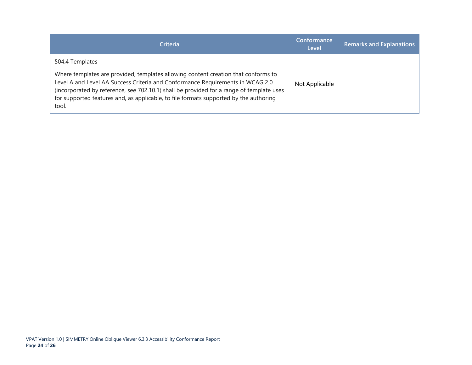| <b>Criteria</b>                                                                                                                                                                                                                                                                                                                                                                       | <b>Conformance</b><br>Level | <b>Remarks and Explanations</b> |
|---------------------------------------------------------------------------------------------------------------------------------------------------------------------------------------------------------------------------------------------------------------------------------------------------------------------------------------------------------------------------------------|-----------------------------|---------------------------------|
| 504.4 Templates<br>Where templates are provided, templates allowing content creation that conforms to<br>Level A and Level AA Success Criteria and Conformance Requirements in WCAG 2.0<br>(incorporated by reference, see 702.10.1) shall be provided for a range of template uses<br>for supported features and, as applicable, to file formats supported by the authoring<br>tool. | Not Applicable              |                                 |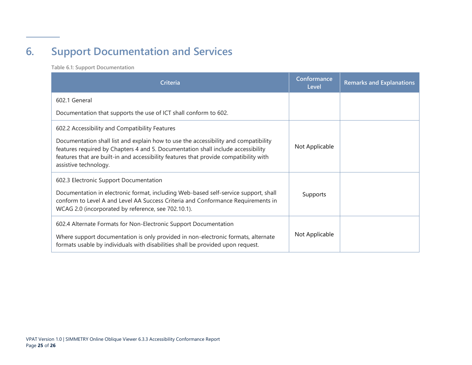# **6. Support Documentation and Services**

**Table 6.1: Support Documentation**

<span id="page-26-0"></span>

| <b>Criteria</b>                                                                                                                                                                                                                                                                           | Conformance<br>Level | <b>Remarks and Explanations</b> |
|-------------------------------------------------------------------------------------------------------------------------------------------------------------------------------------------------------------------------------------------------------------------------------------------|----------------------|---------------------------------|
| 602.1 General                                                                                                                                                                                                                                                                             |                      |                                 |
| Documentation that supports the use of ICT shall conform to 602.                                                                                                                                                                                                                          |                      |                                 |
| 602.2 Accessibility and Compatibility Features                                                                                                                                                                                                                                            |                      |                                 |
| Documentation shall list and explain how to use the accessibility and compatibility<br>features required by Chapters 4 and 5. Documentation shall include accessibility<br>features that are built-in and accessibility features that provide compatibility with<br>assistive technology. | Not Applicable       |                                 |
| 602.3 Electronic Support Documentation<br>Documentation in electronic format, including Web-based self-service support, shall<br>conform to Level A and Level AA Success Criteria and Conformance Requirements in<br>WCAG 2.0 (incorporated by reference, see 702.10.1).                  | Supports             |                                 |
| 602.4 Alternate Formats for Non-Electronic Support Documentation<br>Where support documentation is only provided in non-electronic formats, alternate<br>formats usable by individuals with disabilities shall be provided upon request.                                                  | Not Applicable       |                                 |